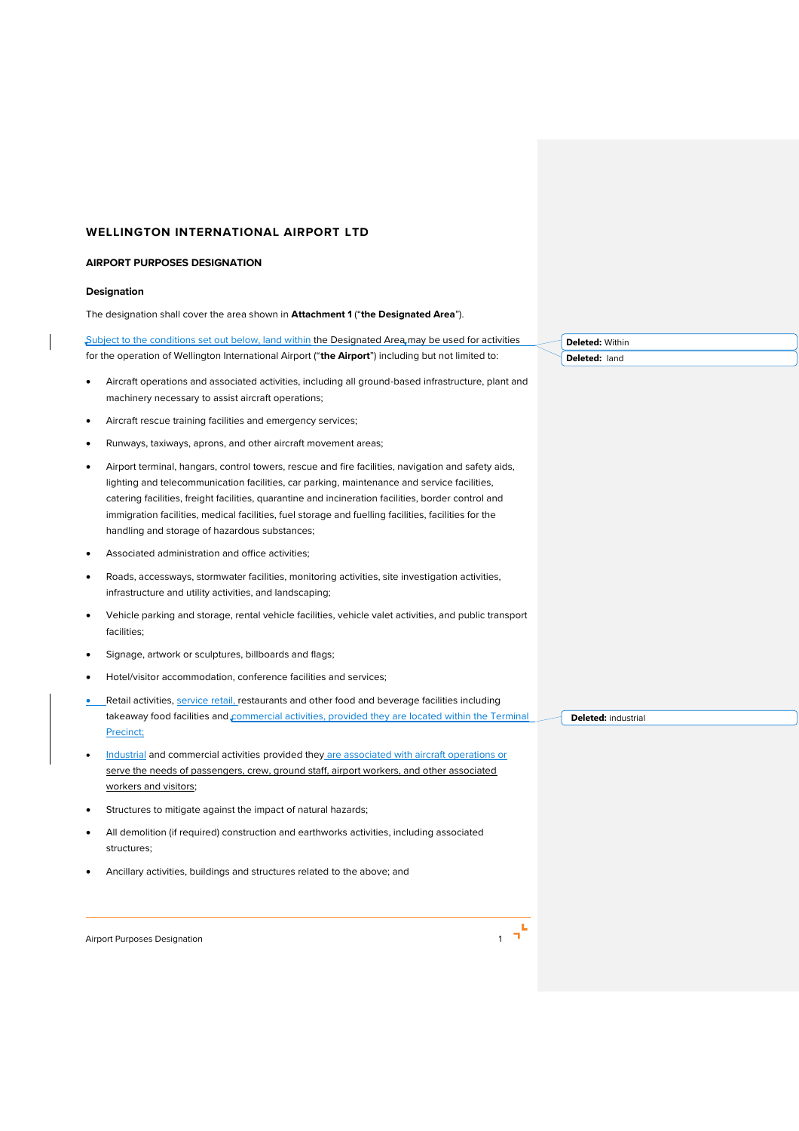## **WELLINGTON INTERNATIONAL AIRPORT LTD**

#### **AIRPORT PURPOSES DESIGNATION**

### **Designation**

The designation shall cover the area shown in **Attachment 1** ("**the Designated Area**").

Subject to the conditions set out below, land within the Designated Area may be used for activities for the operation of Wellington International Airport ("**the Airport**") including but not limited to:

- Aircraft operations and associated activities, including all ground-based infrastructure, plant and machinery necessary to assist aircraft operations;
- Aircraft rescue training facilities and emergency services;
- Runways, taxiways, aprons, and other aircraft movement areas;
- Airport terminal, hangars, control towers, rescue and fire facilities, navigation and safety aids, lighting and telecommunication facilities, car parking, maintenance and service facilities, catering facilities, freight facilities, quarantine and incineration facilities, border control and immigration facilities, medical facilities, fuel storage and fuelling facilities, facilities for the handling and storage of hazardous substances;
- Associated administration and office activities;
- Roads, accessways, stormwater facilities, monitoring activities, site investigation activities, infrastructure and utility activities, and landscaping;
- Vehicle parking and storage, rental vehicle facilities, vehicle valet activities, and public transport facilities;
- Signage, artwork or sculptures, billboards and flags;
- Hotel/visitor accommodation, conference facilities and services;
- Retail activities, service retail, restaurants and other food and beverage facilities including takeaway food facilities and commercial activities, provided they are located within the Terminal Precinct;
- Industrial and commercial activities provided they are associated with aircraft operations or serve the needs of passengers, crew, ground staff, airport workers, and other associated workers and visitors;
- Structures to mitigate against the impact of natural hazards;
- All demolition (if required) construction and earthworks activities, including associated structures;
- Ancillary activities, buildings and structures related to the above; and

Airport Purposes Designation 1



**Deleted:** Within **Deleted:** land

**Deleted:** industrial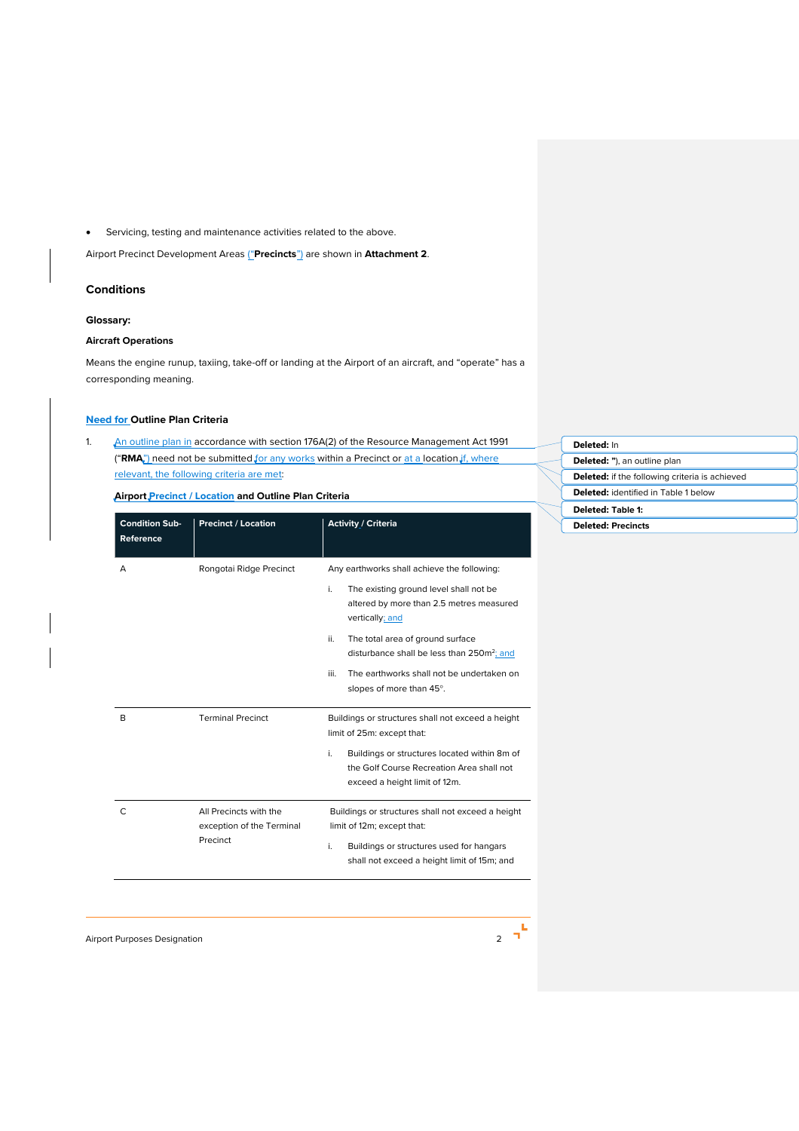• Servicing, testing and maintenance activities related to the above.

Airport Precinct Development Areas ("**Precincts**") are shown in **Attachment 2**.

## **Conditions**

## **Glossary:**

## **Aircraft Operations**

Means the engine runup, taxiing, take-off or landing at the Airport of an aircraft, and "operate" has a corresponding meaning.

# **Need for Outline Plan Criteria**

1. An outline plan in accordance with section 176A(2) of the Resource Management Act 1991 ("RMA<sub>"</sub>) need not be submitted for any works within a Precinct or at a location if, where relevant, the following criteria are met:

**Airport Precinct / Location and Outline Plan Criteria** 

| <b>Condition Sub-</b><br>Reference | <b>Precinct / Location</b>                                      | <b>Activity / Criteria</b>                                                                                                                                                                                                                                                                                                                       |
|------------------------------------|-----------------------------------------------------------------|--------------------------------------------------------------------------------------------------------------------------------------------------------------------------------------------------------------------------------------------------------------------------------------------------------------------------------------------------|
| А                                  | Rongotai Ridge Precinct                                         | Any earthworks shall achieve the following:<br>i.<br>The existing ground level shall not be<br>altered by more than 2.5 metres measured<br>vertically; and<br>ii.<br>The total area of ground surface<br>disturbance shall be less than 250m <sup>2</sup> ; and<br>iii.<br>The earthworks shall not be undertaken on<br>slopes of more than 45°. |
| B                                  | <b>Terminal Precinct</b>                                        | Buildings or structures shall not exceed a height<br>limit of 25m: except that:<br>i.<br>Buildings or structures located within 8m of<br>the Golf Course Recreation Area shall not<br>exceed a height limit of 12m.                                                                                                                              |
| C                                  | All Precincts with the<br>exception of the Terminal<br>Precinct | Buildings or structures shall not exceed a height<br>limit of 12m; except that:<br>i.<br>Buildings or structures used for hangars<br>shall not exceed a height limit of 15m; and                                                                                                                                                                 |

**Deleted:** In **Deleted: "**), an outline plan **Deleted:** if the following criteria is achieved **Deleted:** identified in Table 1 below **Deleted: Table 1: Deleted: Precincts**

Airport Purposes Designation 2

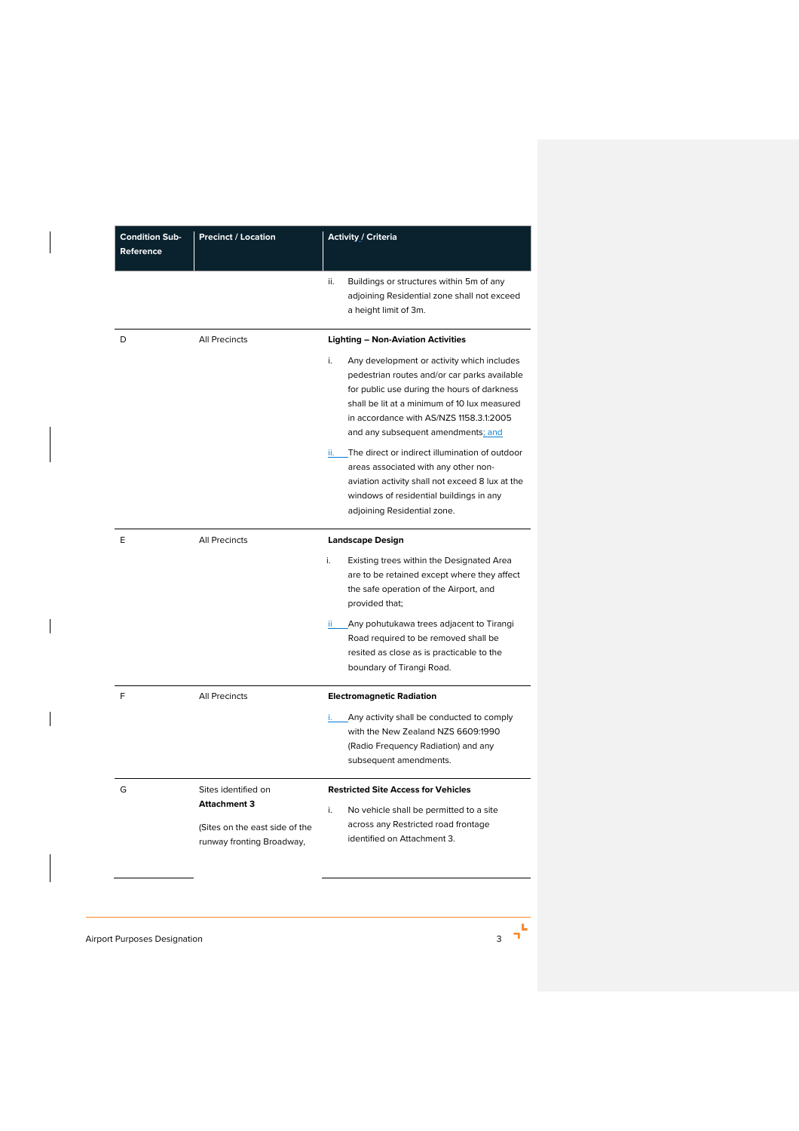| <b>Condition Sub-</b><br>Reference | <b>Precinct / Location</b>                                  | Activity / Criteria                                                                                                                                                                                                                                                              |
|------------------------------------|-------------------------------------------------------------|----------------------------------------------------------------------------------------------------------------------------------------------------------------------------------------------------------------------------------------------------------------------------------|
|                                    |                                                             | ii.<br>Buildings or structures within 5m of any<br>adjoining Residential zone shall not exceed<br>a height limit of 3m.                                                                                                                                                          |
| D                                  | <b>All Precincts</b>                                        | <b>Lighting - Non-Aviation Activities</b>                                                                                                                                                                                                                                        |
|                                    |                                                             | i.<br>Any development or activity which includes<br>pedestrian routes and/or car parks available<br>for public use during the hours of darkness<br>shall be lit at a minimum of 10 lux measured<br>in accordance with AS/NZS 1158.3.1:2005<br>and any subsequent amendments; and |
|                                    |                                                             | ii. The direct or indirect illumination of outdoor<br>areas associated with any other non-<br>aviation activity shall not exceed 8 lux at the<br>windows of residential buildings in any<br>adjoining Residential zone.                                                          |
| E                                  | All Precincts                                               | <b>Landscape Design</b>                                                                                                                                                                                                                                                          |
|                                    |                                                             | i.<br>Existing trees within the Designated Area<br>are to be retained except where they affect<br>the safe operation of the Airport, and<br>provided that;                                                                                                                       |
|                                    |                                                             | Any pohutukawa trees adjacent to Tirangi<br>ii -<br>Road required to be removed shall be<br>resited as close as is practicable to the<br>boundary of Tirangi Road.                                                                                                               |
| F                                  | <b>All Precincts</b>                                        | <b>Electromagnetic Radiation</b>                                                                                                                                                                                                                                                 |
|                                    |                                                             | Any activity shall be conducted to comply<br>i. –<br>with the New Zealand NZS 6609:1990<br>(Radio Frequency Radiation) and any<br>subsequent amendments.                                                                                                                         |
| G                                  | Sites identified on<br><b>Attachment 3</b>                  | <b>Restricted Site Access for Vehicles</b>                                                                                                                                                                                                                                       |
|                                    |                                                             | i.<br>No vehicle shall be permitted to a site                                                                                                                                                                                                                                    |
|                                    | (Sites on the east side of the<br>runway fronting Broadway, | across any Restricted road frontage<br>identified on Attachment 3.                                                                                                                                                                                                               |

Airport Purposes Designation 3 and 3 and 3 and 3 and 3 and 3 and 3 and 3 and 3 and 3 and 3 and 3 and 3 and 3 and 3 and 3 and 3 and 3 and 3 and 3 and 3 and 3 and 3 and 3 and 3 and 3 and 3 and 3 and 3 and 3 and 3 and 3 and 3

 $\overline{\phantom{a}}$ 

 $\overline{\phantom{a}}$ 

 $\begin{array}{c} \hline \end{array}$ 

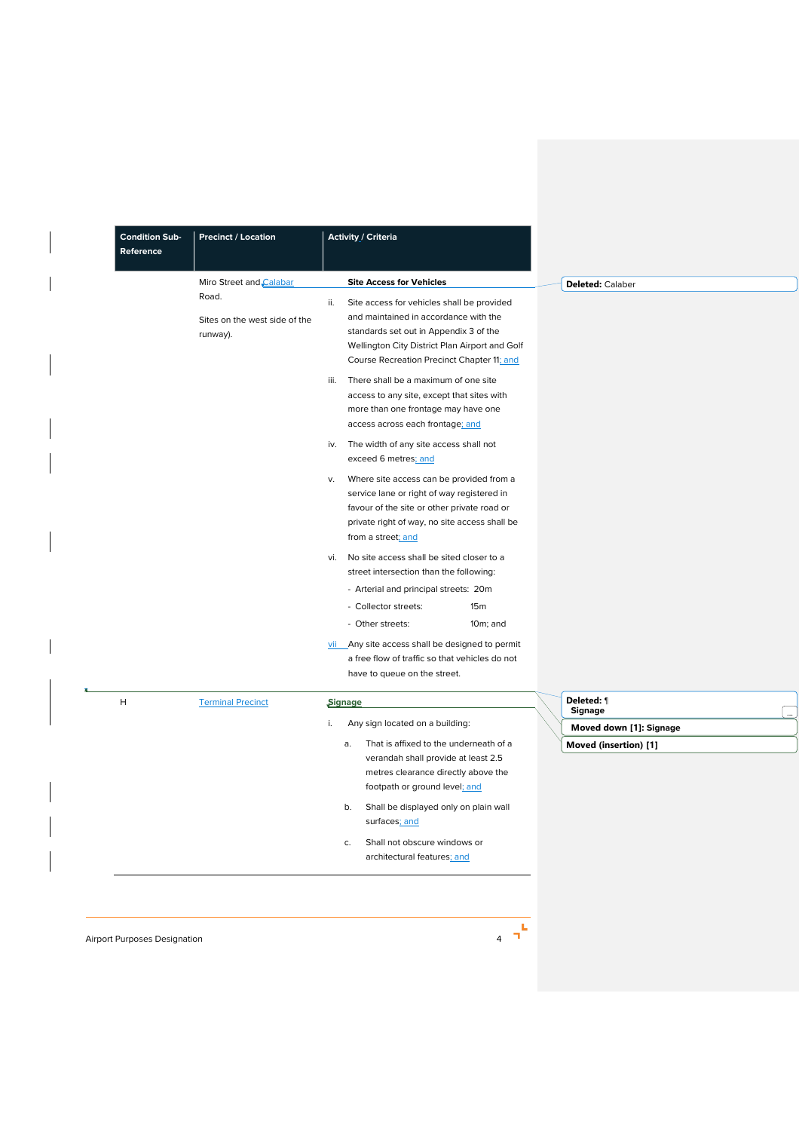| <b>Condition Sub-</b><br>Reference | <b>Precinct / Location</b>                                                    | Activity / Criteria                                                                                                                                                                                                                                                                                                                                                                                                                                                                                                                                                                                                                                                                                                                                                                              |                                                                           |
|------------------------------------|-------------------------------------------------------------------------------|--------------------------------------------------------------------------------------------------------------------------------------------------------------------------------------------------------------------------------------------------------------------------------------------------------------------------------------------------------------------------------------------------------------------------------------------------------------------------------------------------------------------------------------------------------------------------------------------------------------------------------------------------------------------------------------------------------------------------------------------------------------------------------------------------|---------------------------------------------------------------------------|
|                                    | Miro Street and Calabar<br>Road.<br>Sites on the west side of the<br>runway). | <b>Site Access for Vehicles</b><br>Site access for vehicles shall be provided<br>ii.<br>and maintained in accordance with the<br>standards set out in Appendix 3 of the<br>Wellington City District Plan Airport and Golf<br>Course Recreation Precinct Chapter 11; and<br>iii.<br>There shall be a maximum of one site<br>access to any site, except that sites with<br>more than one frontage may have one<br>access across each frontage; and<br>iv. The width of any site access shall not<br>exceed 6 metres; and<br>Where site access can be provided from a<br>v.<br>service lane or right of way registered in<br>favour of the site or other private road or<br>private right of way, no site access shall be<br>from a street; and<br>No site access shall be sited closer to a<br>vi. | Deleted: Calaber                                                          |
|                                    |                                                                               | street intersection than the following:<br>- Arterial and principal streets: 20m<br>- Collector streets:<br>15m<br>- Other streets:<br>$10m$ ; and<br>vii Any site access shall be designed to permit<br>a free flow of traffic so that vehicles do not<br>have to queue on the street.                                                                                                                                                                                                                                                                                                                                                                                                                                                                                                          |                                                                           |
| H                                  | <b>Terminal Precinct</b>                                                      | Signage<br>Any sign located on a building:<br>i.<br>That is affixed to the underneath of a<br>a.<br>verandah shall provide at least 2.5<br>metres clearance directly above the<br>footpath or ground level; and<br>Shall be displayed only on plain wall<br>b.<br>surfaces; and<br>Shall not obscure windows or<br>c.<br>architectural features; and                                                                                                                                                                                                                                                                                                                                                                                                                                             | Deleted: 1<br>Signage<br>Moved down [1]: Signage<br>Moved (insertion) [1] |

Airport Purposes Designation 4 and 2 and 2 and 2 and 2 and 2 and 2 and 2 and 2 and 2 and 2 and 2 and 2 and 2 and 2 and 2 and 2 and 2 and 2 and 2 and 2 and 2 and 2 and 2 and 2 and 2 and 2 and 2 and 2 and 2 and 2 and 2 and 2

 $\overline{\phantom{a}}$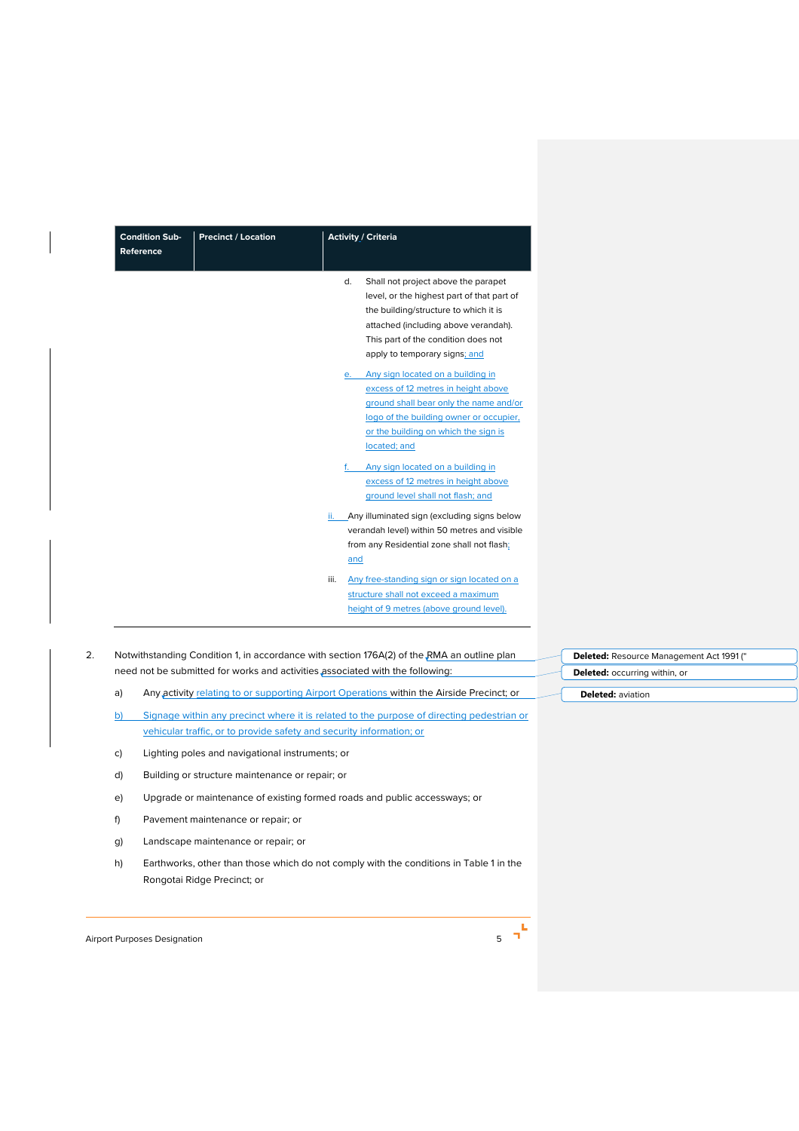| <b>Condition Sub-</b><br>Reference | <b>Precinct / Location</b> | <b>Activity / Criteria</b>                                                                                                                                                                                                                                                                                    |
|------------------------------------|----------------------------|---------------------------------------------------------------------------------------------------------------------------------------------------------------------------------------------------------------------------------------------------------------------------------------------------------------|
|                                    |                            | d.<br>Shall not project above the parapet<br>level, or the highest part of that part of<br>the building/structure to which it is<br>attached (including above verandah).<br>This part of the condition does not<br>apply to temporary signs; and                                                              |
|                                    |                            | Any sign located on a building in<br>e.<br>excess of 12 metres in height above<br>ground shall bear only the name and/or<br>logo of the building owner or occupier,<br>or the building on which the sign is<br>located; and<br>Any sign located on a building in<br>f.<br>excess of 12 metres in height above |
|                                    |                            | ground level shall not flash; and<br>Any illuminated sign (excluding signs below<br>ii.<br>verandah level) within 50 metres and visible<br>from any Residential zone shall not flash;<br>and                                                                                                                  |
|                                    |                            | Any free-standing sign or sign located on a<br>iii.<br>structure shall not exceed a maximum<br>height of 9 metres (above ground level).                                                                                                                                                                       |

- a) Any activity relating to or supporting Airport Operations within the Airside Precinct; or
- b) Signage within any precinct where it is related to the purpose of directing pedestrian or vehicular traffic, or to provide safety and security information; or
- c) Lighting poles and navigational instruments; or
- d) Building or structure maintenance or repair; or
- e) Upgrade or maintenance of existing formed roads and public accessways; or
- f) Pavement maintenance or repair; or
- g) Landscape maintenance or repair; or
- h) Earthworks, other than those which do not comply with the conditions in Table 1 in the Rongotai Ridge Precinct; or

Airport Purposes Designation 6 and 5 and 5 and 5 and 5 and 5 and 5 and 5 and 5 and 5 and 5 and 5 and 5 and 5 and 5 and 5 and 5 and 5 and 5 and 5 and 5 and 5 and 5 and 5 and 5 and 5 and 5 and 5 and 5 and 5 and 5 and 5 and 5



**eted:** Resource Management Act 1991 (" **Deleted:** occurring within, or **Deleted:** aviation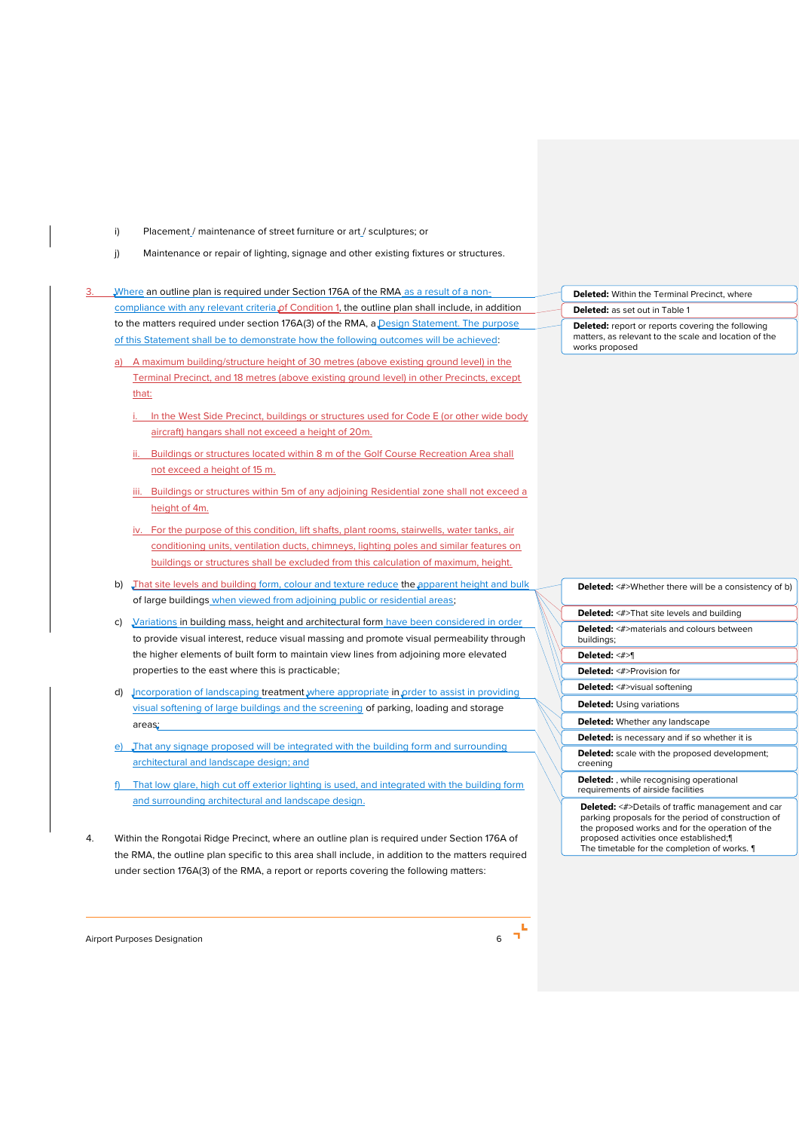- i) Placement / maintenance of street furniture or art / sculptures; or
- j) Maintenance or repair of lighting, signage and other existing fixtures or structures.
- Where an outline plan is required under Section 176A of the RMA as a result of a noncompliance with any relevant criteria of Condition 1, the outline plan shall include, in addition to the matters required under section 176A(3) of the RMA, a Design Statement. The purpose of this Statement shall be to demonstrate how the following outcomes will be achieved:
	- a) A maximum building/structure height of 30 metres (above existing ground level) in the Terminal Precinct, and 18 metres (above existing ground level) in other Precincts, except that:
		- i. In the West Side Precinct, buildings or structures used for Code E (or other wide body aircraft) hangars shall not exceed a height of 20m.
		- Buildings or structures located within 8 m of the Golf Course Recreation Area shall not exceed a height of 15 m.
		- iii. Buildings or structures within 5m of any adjoining Residential zone shall not exceed a height of 4m.
		- iv. For the purpose of this condition, lift shafts, plant rooms, stairwells, water tanks, air conditioning units, ventilation ducts, chimneys, lighting poles and similar features on buildings or structures shall be excluded from this calculation of maximum, height.
	- b) That site levels and building form, colour and texture reduce the apparent height and bulk of large buildings when viewed from adjoining public or residential areas;
	- c) Variations in building mass, height and architectural form have been considered in order to provide visual interest, reduce visual massing and promote visual permeability through the higher elements of built form to maintain view lines from adjoining more elevated properties to the east where this is practicable;
	- d) Incorporation of landscaping treatment where appropriate in order to assist in providing visual softening of large buildings and the screening of parking, loading and storage areas;
	- e) That any signage proposed will be integrated with the building form and surrounding architectural and landscape design; and
	- That low glare, high cut off exterior lighting is used, and integrated with the building form and surrounding architectural and landscape design.
- 4. Within the Rongotai Ridge Precinct, where an outline plan is required under Section 176A of the RMA, the outline plan specific to this area shall include, in addition to the matters required under section 176A(3) of the RMA, a report or reports covering the following matters:

Airport Purposes Designation 6



| <b>Deleted:</b> <#>Whether there will be a consistency of b)                          |
|---------------------------------------------------------------------------------------|
| <b>Deleted:</b> <#>That site levels and building                                      |
| <b>Deleted:</b> <#>materials and colours between<br>buildings;                        |
| Deleted: <#>¶                                                                         |
| <b>Deleted:</b> <#>Provision for                                                      |
| <b>Deleted:</b> <#>visual softening                                                   |
| <b>Deleted:</b> Using variations                                                      |
| <b>Deleted:</b> Whether any landscape                                                 |
| <b>Deleted:</b> is necessary and if so whether it is                                  |
| <b>Deleted:</b> scale with the proposed development;<br>creening                      |
| <b>Deleted:</b> , while recognising operational<br>requirements of airside facilities |
|                                                                                       |

**Deleted:** <#>Details of traffic management and car parking proposals for the period of construction of the proposed works and for the operation of the proposed activities once established;¶ The timetable for the completion of works. ¶

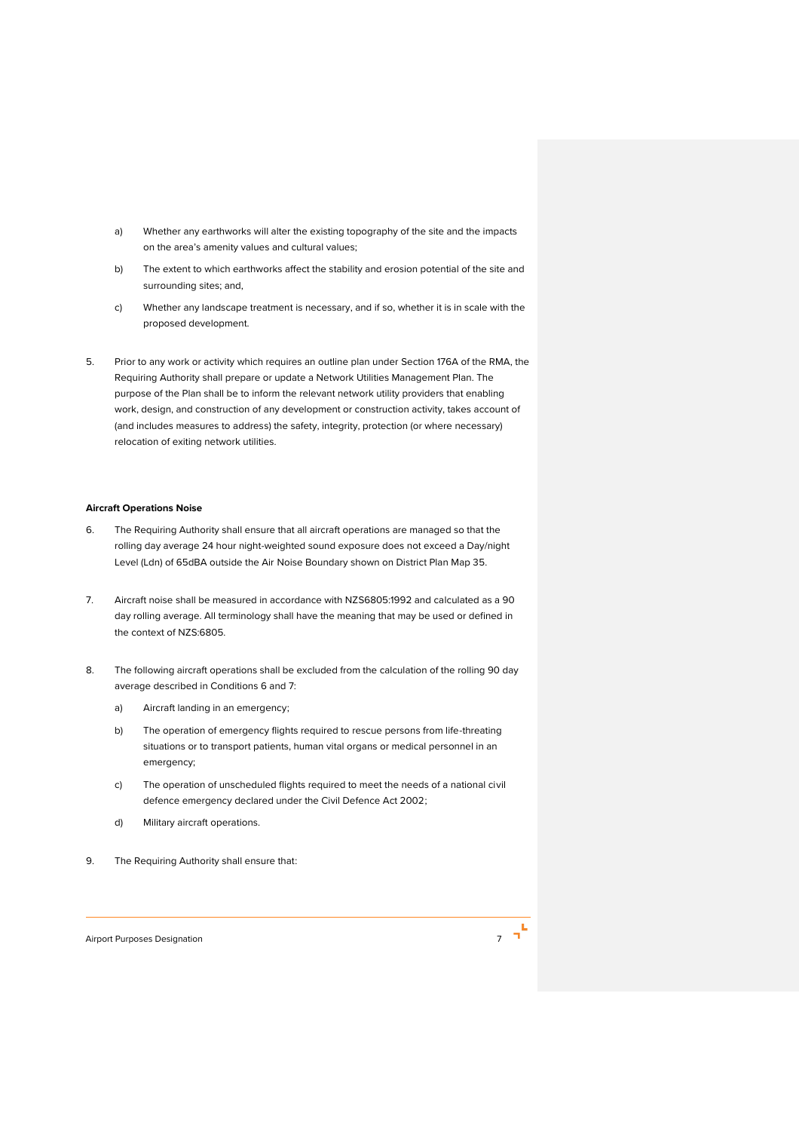- a) Whether any earthworks will alter the existing topography of the site and the impacts on the area's amenity values and cultural values;
- b) The extent to which earthworks affect the stability and erosion potential of the site and surrounding sites; and,
- c) Whether any landscape treatment is necessary, and if so, whether it is in scale with the proposed development.
- 5. Prior to any work or activity which requires an outline plan under Section 176A of the RMA, the Requiring Authority shall prepare or update a Network Utilities Management Plan. The purpose of the Plan shall be to inform the relevant network utility providers that enabling work, design, and construction of any development or construction activity, takes account of (and includes measures to address) the safety, integrity, protection (or where necessary) relocation of exiting network utilities.

#### **Aircraft Operations Noise**

- 6. The Requiring Authority shall ensure that all aircraft operations are managed so that the rolling day average 24 hour night-weighted sound exposure does not exceed a Day/night Level (Ldn) of 65dBA outside the Air Noise Boundary shown on District Plan Map 35.
- 7. Aircraft noise shall be measured in accordance with NZS6805:1992 and calculated as a 90 day rolling average. All terminology shall have the meaning that may be used or defined in the context of NZS:6805.
- 8. The following aircraft operations shall be excluded from the calculation of the rolling 90 day average described in Conditions 6 and 7:
	- a) Aircraft landing in an emergency;
	- b) The operation of emergency flights required to rescue persons from life-threating situations or to transport patients, human vital organs or medical personnel in an emergency;
	- c) The operation of unscheduled flights required to meet the needs of a national civil defence emergency declared under the Civil Defence Act 2002;
	- d) Military aircraft operations.
- 9. The Requiring Authority shall ensure that:



Airport Purposes Designation 7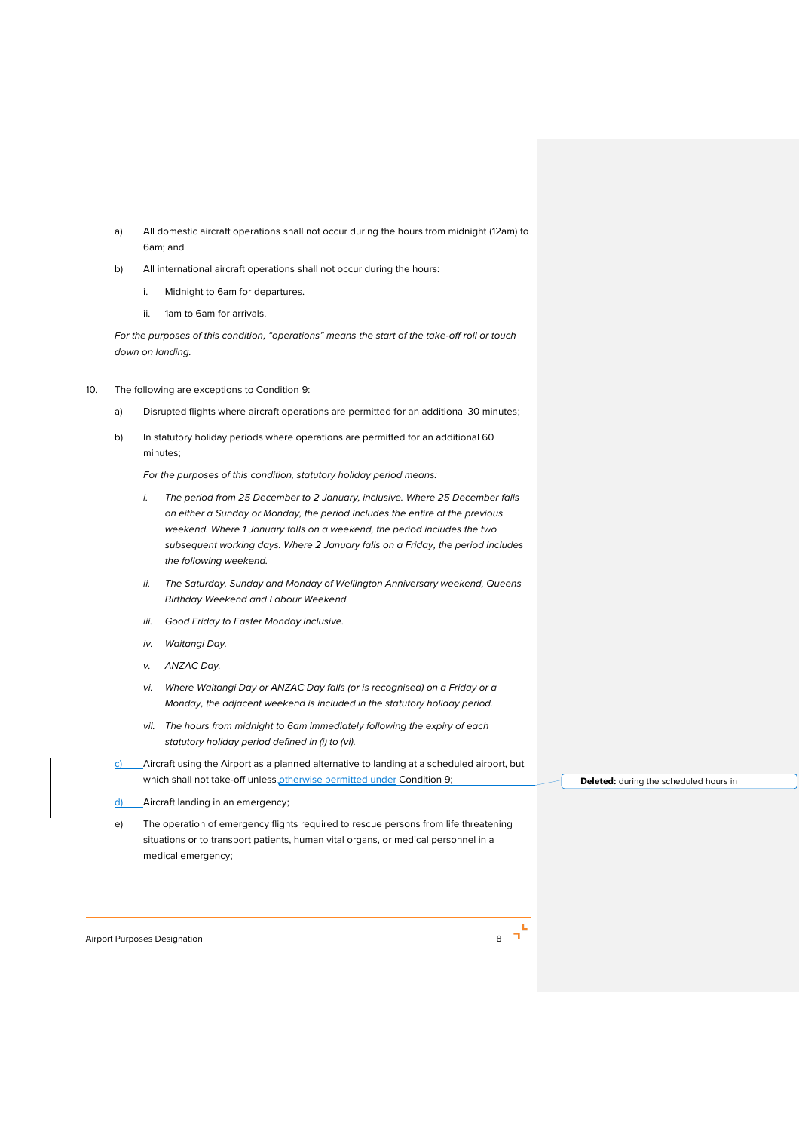- a) All domestic aircraft operations shall not occur during the hours from midnight (12am) to 6am; and
- b) All international aircraft operations shall not occur during the hours:
	- i. Midnight to 6am for departures.
	- ii. 1am to 6am for arrivals.

*For the purposes of this condition, "operations" means the start of the take-off roll or touch down on landing.* 

- 10. The following are exceptions to Condition 9:
	- a) Disrupted flights where aircraft operations are permitted for an additional 30 minutes;
	- b) In statutory holiday periods where operations are permitted for an additional 60 minutes;

*For the purposes of this condition, statutory holiday period means:*

- *i. The period from 25 December to 2 January, inclusive. Where 25 December falls on either a Sunday or Monday, the period includes the entire of the previous weekend. Where 1 January falls on a weekend, the period includes the two subsequent working days. Where 2 January falls on a Friday, the period includes the following weekend.*
- *ii. The Saturday, Sunday and Monday of Wellington Anniversary weekend, Queens Birthday Weekend and Labour Weekend.*
- *iii. Good Friday to Easter Monday inclusive.*
- *iv. Waitangi Day.*
- *v. ANZAC Day.*
- *vi. Where Waitangi Day or ANZAC Day falls (or is recognised) on a Friday or a Monday, the adjacent weekend is included in the statutory holiday period.*
- *vii. The hours from midnight to 6am immediately following the expiry of each statutory holiday period defined in (i) to (vi).*
- c) Aircraft using the Airport as a planned alternative to landing at a scheduled airport, but which shall not take-off unless otherwise permitted under Condition 9;
- d) Aircraft landing in an emergency;

e) The operation of emergency flights required to rescue persons from life threatening situations or to transport patients, human vital organs, or medical personnel in a medical emergency;

Airport Purposes Designation 8



**Deleted:** during the scheduled hours in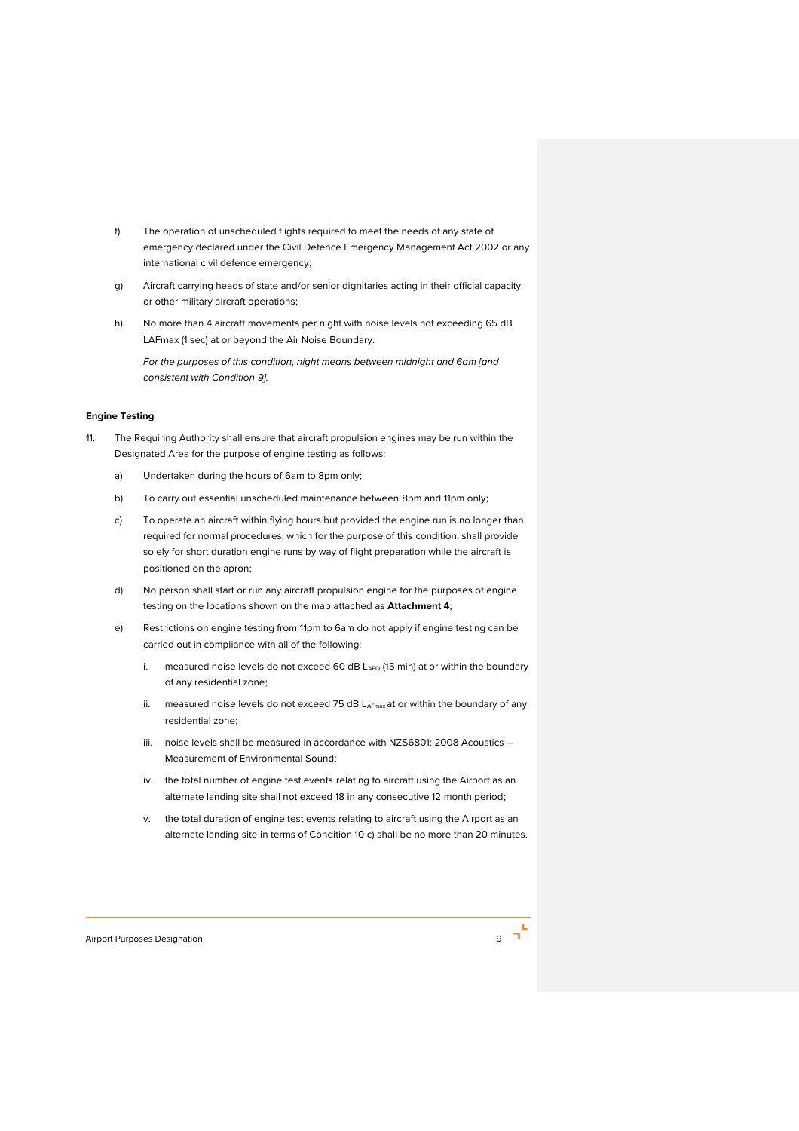- f) The operation of unscheduled flights required to meet the needs of any state of emergency declared under the Civil Defence Emergency Management Act 2002 or any international civil defence emergency;
- g) Aircraft carrying heads of state and/or senior dignitaries acting in their official capacity or other military aircraft operations;
- h) No more than 4 aircraft movements per night with noise levels not exceeding 65 dB LAFmax (1 sec) at or beyond the Air Noise Boundary.

*For the purposes of this condition, night means between midnight and 6am [and consistent with Condition 9].*

## **Engine Testing**

- 11. The Requiring Authority shall ensure that aircraft propulsion engines may be run within the Designated Area for the purpose of engine testing as follows:
	- a) Undertaken during the hours of 6am to 8pm only;
	- b) To carry out essential unscheduled maintenance between 8pm and 11pm only;
	- c) To operate an aircraft within flying hours but provided the engine run is no longer than required for normal procedures, which for the purpose of this condition, shall provide solely for short duration engine runs by way of flight preparation while the aircraft is positioned on the apron;
	- d) No person shall start or run any aircraft propulsion engine for the purposes of engine testing on the locations shown on the map attached as **Attachment 4**;
	- e) Restrictions on engine testing from 11pm to 6am do not apply if engine testing can be carried out in compliance with all of the following:
		- i. measured noise levels do not exceed 60 dB LAEQ (15 min) at or within the boundary of any residential zone;
		- ii. measured noise levels do not exceed 75 dB LAFmax at or within the boundary of any residential zone;
		- iii. noise levels shall be measured in accordance with NZS6801: 2008 Acoustics -Measurement of Environmental Sound;
		- iv. the total number of engine test events relating to aircraft using the Airport as an alternate landing site shall not exceed 18 in any consecutive 12 month period;
		- v. the total duration of engine test events relating to aircraft using the Airport as an alternate landing site in terms of Condition 10 c) shall be no more than 20 minutes.

Airport Purposes Designation 9

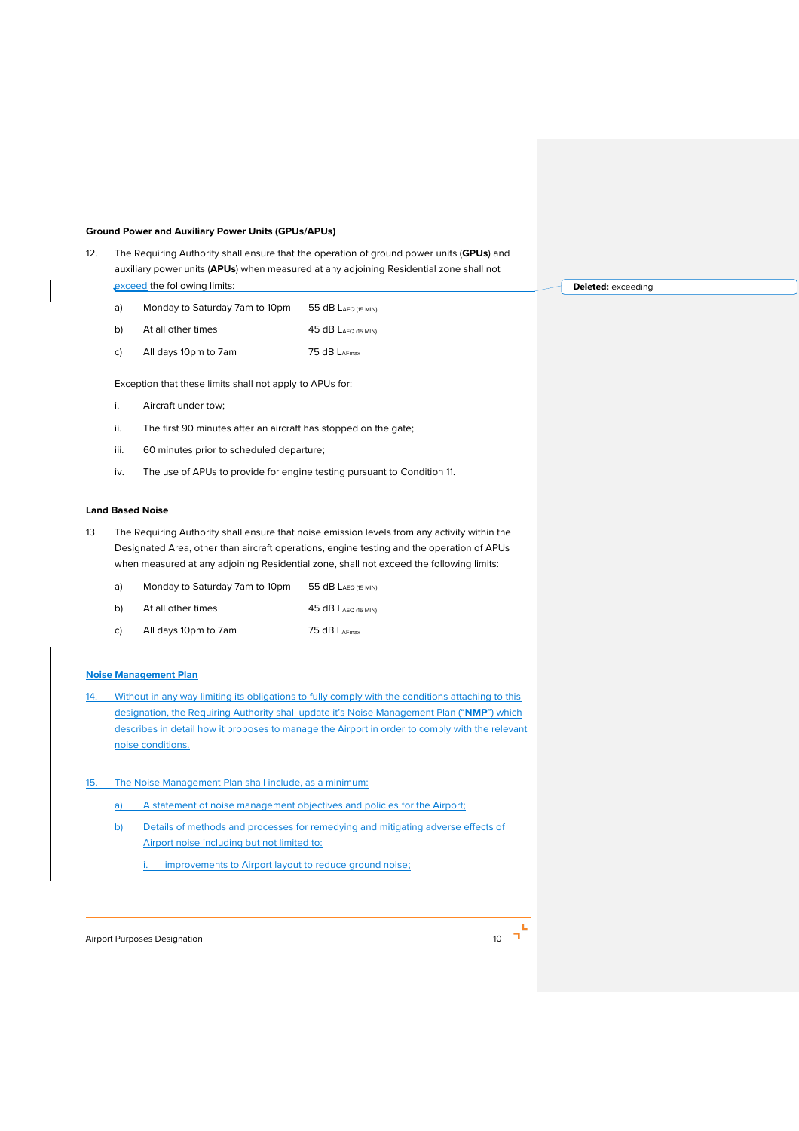#### **Ground Power and Auxiliary Power Units (GPUs/APUs)**

- 12. The Requiring Authority shall ensure that the operation of ground power units (**GPUs**) and auxiliary power units (**APUs**) when measured at any adjoining Residential zone shall not exceed the following limits:
	- a) Monday to Saturday 7am to 10pm 55 dB LAEQ (15 MIN)
	- b) At all other times 45 dB LAEQ (15 MIN)
	- c) All days 10pm to 7am 75 dB LAFmax

Exception that these limits shall not apply to APUs for:

- i. Aircraft under tow;
- ii. The first 90 minutes after an aircraft has stopped on the gate;
- iii. 60 minutes prior to scheduled departure;
- iv. The use of APUs to provide for engine testing pursuant to Condition 11.

## **Land Based Noise**

- 13. The Requiring Authority shall ensure that noise emission levels from any activity within the Designated Area, other than aircraft operations, engine testing and the operation of APUs when measured at any adjoining Residential zone, shall not exceed the following limits:
	- a) Monday to Saturday 7am to 10pm 55 dB LAEQ (15 MIN)
	- b) At all other times 45 dB LAEQ (15 MIN)
	- c) All days 10pm to 7am 75 dB LAFmax

## **Noise Management Plan**

- 14. Without in any way limiting its obligations to fully comply with the conditions attaching to this designation, the Requiring Authority shall update it's Noise Management Plan ("**NMP**") which describes in detail how it proposes to manage the Airport in order to comply with the relevant noise conditions.
- 15. The Noise Management Plan shall include, as a minimum:
	- a) A statement of noise management objectives and policies for the Airport;
	- b) Details of methods and processes for remedying and mitigating adverse effects of Airport noise including but not limited to:
		- improvements to Airport layout to reduce ground noise;

Airport Purposes Designation **10** 



**Deleted:** exceeding